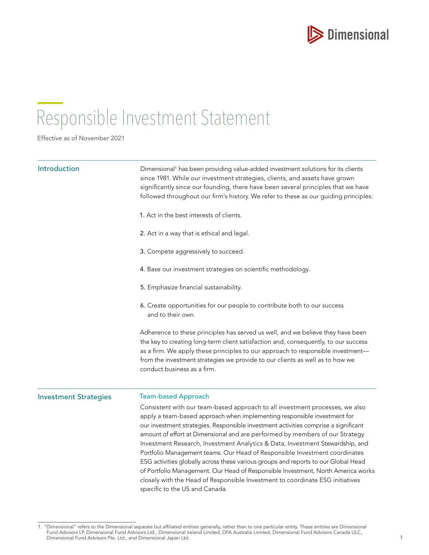

# Responsible Investment Statement

Effective as of November 2021

| Introduction                 | Dimensional <sup>1</sup> has been providing value-added investment solutions for its clients<br>since 1981. While our investment strategies, clients, and assets have grown<br>significantly since our founding, there have been several principles that we have<br>followed throughout our firm's history. We refer to these as our guiding principles:                                                                                                                                                                                                                                                                                                                                                                                                                                    |
|------------------------------|---------------------------------------------------------------------------------------------------------------------------------------------------------------------------------------------------------------------------------------------------------------------------------------------------------------------------------------------------------------------------------------------------------------------------------------------------------------------------------------------------------------------------------------------------------------------------------------------------------------------------------------------------------------------------------------------------------------------------------------------------------------------------------------------|
|                              | 1. Act in the best interests of clients.                                                                                                                                                                                                                                                                                                                                                                                                                                                                                                                                                                                                                                                                                                                                                    |
|                              | 2. Act in a way that is ethical and legal.                                                                                                                                                                                                                                                                                                                                                                                                                                                                                                                                                                                                                                                                                                                                                  |
|                              | 3. Compete aggressively to succeed.                                                                                                                                                                                                                                                                                                                                                                                                                                                                                                                                                                                                                                                                                                                                                         |
|                              | 4. Base our investment strategies on scientific methodology.                                                                                                                                                                                                                                                                                                                                                                                                                                                                                                                                                                                                                                                                                                                                |
|                              | 5. Emphasize financial sustainability.                                                                                                                                                                                                                                                                                                                                                                                                                                                                                                                                                                                                                                                                                                                                                      |
|                              | 6. Create opportunities for our people to contribute both to our success<br>and to their own.                                                                                                                                                                                                                                                                                                                                                                                                                                                                                                                                                                                                                                                                                               |
|                              | Adherence to these principles has served us well, and we believe they have been<br>the key to creating long-term client satisfaction and, consequently, to our success<br>as a firm. We apply these principles to our approach to responsible investment-<br>from the investment strategies we provide to our clients as well as to how we<br>conduct business as a firm.                                                                                                                                                                                                                                                                                                                                                                                                                   |
| <b>Investment Strategies</b> | <b>Team-based Approach</b>                                                                                                                                                                                                                                                                                                                                                                                                                                                                                                                                                                                                                                                                                                                                                                  |
|                              | Consistent with our team-based approach to all investment processes, we also<br>apply a team-based approach when implementing responsible investment for<br>our investment strategies. Responsible investment activities comprise a significant<br>amount of effort at Dimensional and are performed by members of our Strategy<br>Investment Research, Investment Analytics & Data, Investment Stewardship, and<br>Portfolio Management teams. Our Head of Responsible Investment coordinates<br>ESG activities globally across these various groups and reports to our Global Head<br>of Portfolio Management. Our Head of Responsible Investment, North America works<br>closely with the Head of Responsible Investment to coordinate ESG initiatives<br>specific to the US and Canada. |

<sup>1.</sup> "Dimensional" refers to the Dimensional separate but affiliated entities generally, rather than to one particular entity. These entities are Dimensional Fund Advisors LP, Dimensional Fund Advisors Ltd., Dimensional Ireland Limited, DFA Australia Limited, Dimensional Fund Advisors Canada ULC, Dimensional Fund Advisors Pte. Ltd., and Dimensional Japan Ltd.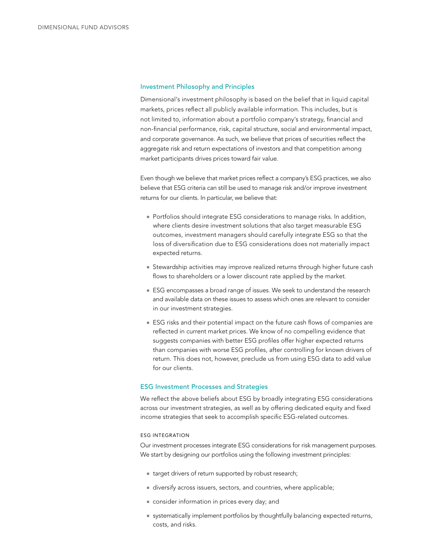## Investment Philosophy and Principles

Dimensional's investment philosophy is based on the belief that in liquid capital markets, prices reflect all publicly available information. This includes, but is not limited to, information about a portfolio company's strategy, financial and non-financial performance, risk, capital structure, social and environmental impact, and corporate governance. As such, we believe that prices of securities reflect the aggregate risk and return expectations of investors and that competition among market participants drives prices toward fair value.

Even though we believe that market prices reflect a company's ESG practices, we also believe that ESG criteria can still be used to manage risk and/or improve investment returns for our clients. In particular, we believe that:

- **Portfolios should integrate ESG considerations to manage risks. In addition,** where clients desire investment solutions that also target measurable ESG outcomes, investment managers should carefully integrate ESG so that the loss of diversification due to ESG considerations does not materially impact expected returns.
- **Stewardship activities may improve realized returns through higher future cash** flows to shareholders or a lower discount rate applied by the market.
- ESG encompasses a broad range of issues. We seek to understand the research and available data on these issues to assess which ones are relevant to consider in our investment strategies.
- ESG risks and their potential impact on the future cash flows of companies are reflected in current market prices. We know of no compelling evidence that suggests companies with better ESG profiles offer higher expected returns than companies with worse ESG profiles, after controlling for known drivers of return. This does not, however, preclude us from using ESG data to add value for our clients.

#### ESG Investment Processes and Strategies

We reflect the above beliefs about ESG by broadly integrating ESG considerations across our investment strategies, as well as by offering dedicated equity and fixed income strategies that seek to accomplish specific ESG-related outcomes.

#### ESG INTEGRATION

Our investment processes integrate ESG considerations for risk management purposes. We start by designing our portfolios using the following investment principles:

- target drivers of return supported by robust research;
- diversify across issuers, sectors, and countries, where applicable;
- onsider information in prices every day; and
- **systematically implement portfolios by thoughtfully balancing expected returns,** costs, and risks.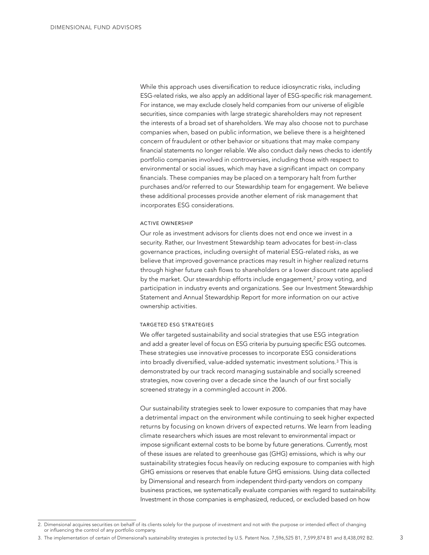While this approach uses diversification to reduce idiosyncratic risks, including ESG-related risks, we also apply an additional layer of ESG-specific risk management. For instance, we may exclude closely held companies from our universe of eligible securities, since companies with large strategic shareholders may not represent the interests of a broad set of shareholders. We may also choose not to purchase companies when, based on public information, we believe there is a heightened concern of fraudulent or other behavior or situations that may make company financial statements no longer reliable. We also conduct daily news checks to identify portfolio companies involved in controversies, including those with respect to environmental or social issues, which may have a significant impact on company financials. These companies may be placed on a temporary halt from further purchases and/or referred to our Stewardship team for engagement. We believe these additional processes provide another element of risk management that incorporates ESG considerations.

#### ACTIVE OWNERSHIP

Our role as investment advisors for clients does not end once we invest in a security. Rather, our Investment Stewardship team advocates for best-in-class governance practices, including oversight of material ESG-related risks, as we believe that improved governance practices may result in higher realized returns through higher future cash flows to shareholders or a lower discount rate applied by the market. Our stewardship efforts include engagement, $2$  proxy voting, and participation in industry events and organizations. See our Investment Stewardship Statement and Annual Stewardship Report for more information on our active ownership activities.

## TARGETED ESG STRATEGIES

We offer targeted sustainability and social strategies that use ESG integration and add a greater level of focus on ESG criteria by pursuing specific ESG outcomes. These strategies use innovative processes to incorporate ESG considerations into broadly diversified, value-added systematic investment solutions.3 This is demonstrated by our track record managing sustainable and socially screened strategies, now covering over a decade since the launch of our first socially screened strategy in a commingled account in 2006.

Our sustainability strategies seek to lower exposure to companies that may have a detrimental impact on the environment while continuing to seek higher expected returns by focusing on known drivers of expected returns. We learn from leading climate researchers which issues are most relevant to environmental impact or impose significant external costs to be borne by future generations. Currently, most of these issues are related to greenhouse gas (GHG) emissions, which is why our sustainability strategies focus heavily on reducing exposure to companies with high GHG emissions or reserves that enable future GHG emissions. Using data collected by Dimensional and research from independent third-party vendors on company business practices, we systematically evaluate companies with regard to sustainability. Investment in those companies is emphasized, reduced, or excluded based on how

<sup>2.</sup> Dimensional acquires securities on behalf of its clients solely for the purpose of investment and not with the purpose or intended effect of changing or influencing the control of any portfolio company.

<sup>3.</sup> The implementation of certain of Dimensional's sustainability strategies is protected by U.S. Patent Nos. 7,596,525 B1, 7,599,874 B1 and 8,438,092 B2.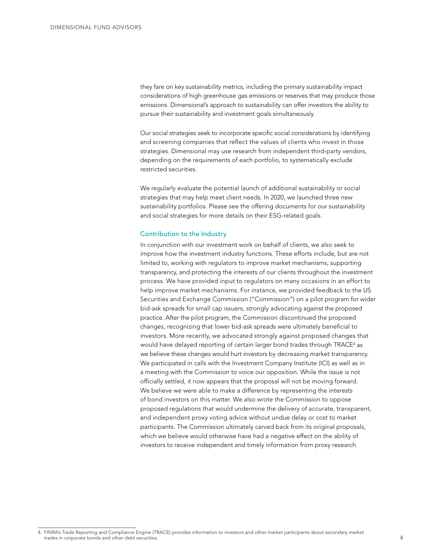they fare on key sustainability metrics, including the primary sustainability impact considerations of high greenhouse gas emissions or reserves that may produce those emissions. Dimensional's approach to sustainability can offer investors the ability to pursue their sustainability and investment goals simultaneously.

Our social strategies seek to incorporate specific social considerations by identifying and screening companies that reflect the values of clients who invest in those strategies. Dimensional may use research from independent third-party vendors, depending on the requirements of each portfolio, to systematically exclude restricted securities.

We regularly evaluate the potential launch of additional sustainability or social strategies that may help meet client needs. In 2020, we launched three new sustainability portfolios. Please see the offering documents for our sustainability and social strategies for more details on their ESG-related goals.

#### Contribution to the Industry

In conjunction with our investment work on behalf of clients, we also seek to improve how the investment industry functions. These efforts include, but are not limited to, working with regulators to improve market mechanisms, supporting transparency, and protecting the interests of our clients throughout the investment process. We have provided input to regulators on many occasions in an effort to help improve market mechanisms. For instance, we provided feedback to the US Securities and Exchange Commission ("Commission") on a pilot program for wider bid-ask spreads for small cap issuers, strongly advocating against the proposed practice. After the pilot program, the Commission discontinued the proposed changes, recognizing that lower bid-ask spreads were ultimately beneficial to investors. More recently, we advocated strongly against proposed changes that would have delayed reporting of certain larger bond trades through TRACE4 as we believe these changes would hurt investors by decreasing market transparency. We participated in calls with the Investment Company Institute (ICI) as well as in a meeting with the Commission to voice our opposition. While the issue is not officially settled, it now appears that the proposal will not be moving forward. We believe we were able to make a difference by representing the interests of bond investors on this matter. We also wrote the Commission to oppose proposed regulations that would undermine the delivery of accurate, transparent, and independent proxy voting advice without undue delay or cost to market participants. The Commission ultimately carved back from its original proposals, which we believe would otherwise have had a negative effect on the ability of investors to receive independent and timely information from proxy research.

<sup>4.</sup> FINRA's Trade Reporting and Compliance Engine (TRACE) provides information to investors and other market participants about secondary market trades in corporate bonds and other debt securities.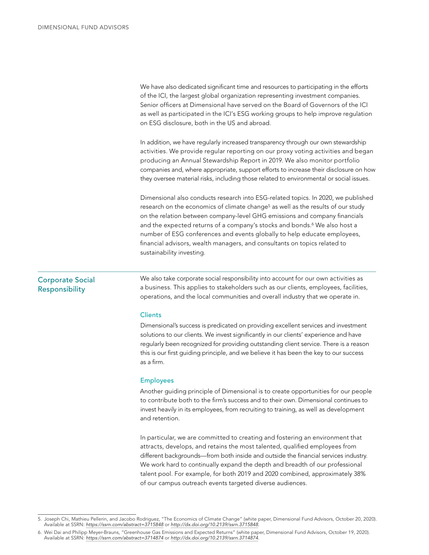We have also dedicated significant time and resources to participating in the efforts of the ICI, the largest global organization representing investment companies. Senior officers at Dimensional have served on the Board of Governors of the ICI as well as participated in the ICI's ESG working groups to help improve regulation on ESG disclosure, both in the US and abroad.

In addition, we have regularly increased transparency through our own stewardship activities. We provide regular reporting on our proxy voting activities and began producing an Annual Stewardship Report in 2019. We also monitor portfolio companies and, where appropriate, support efforts to increase their disclosure on how they oversee material risks, including those related to environmental or social issues.

Dimensional also conducts research into ESG-related topics. In 2020, we published research on the economics of climate change<sup>5</sup> as well as the results of our study on the relation between company-level GHG emissions and company financials and the expected returns of a company's stocks and bonds.<sup>6</sup> We also host a number of ESG conferences and events globally to help educate employees, financial advisors, wealth managers, and consultants on topics related to sustainability investing.

## Corporate Social Responsibility

We also take corporate social responsibility into account for our own activities as a business. This applies to stakeholders such as our clients, employees, facilities, operations, and the local communities and overall industry that we operate in.

## **Clients**

Dimensional's success is predicated on providing excellent services and investment solutions to our clients. We invest significantly in our clients' experience and have regularly been recognized for providing outstanding client service. There is a reason this is our first guiding principle, and we believe it has been the key to our success as a firm.

## Employees

Another guiding principle of Dimensional is to create opportunities for our people to contribute both to the firm's success and to their own. Dimensional continues to invest heavily in its employees, from recruiting to training, as well as development and retention.

In particular, we are committed to creating and fostering an environment that attracts, develops, and retains the most talented, qualified employees from different backgrounds—from both inside and outside the financial services industry. We work hard to continually expand the depth and breadth of our professional talent pool. For example, for both 2019 and 2020 combined, approximately 38% of our campus outreach events targeted diverse audiences.

<sup>5.</sup> Joseph Chi, Mathieu Pellerin, and Jacobo Rodriguez, "The Economics of Climate Change" (white paper, Dimensional Fund Advisors, October 20, 2020).<br>Available at SSRN: <https://ssrn.com/abstract=3715848> or http://dx.doi.org

<sup>6.</sup> Wei Dai and Philipp Meyer-Brauns, "Greenhouse Gas Emissions and Expected Returns" (white paper, Dimensional Fund Advisors, October 19, 2020). Available at SSRN: *<https://ssrn.com/abstract=3714874>* or *<http://dx.doi.org/10.2139/ssrn.3714874>*.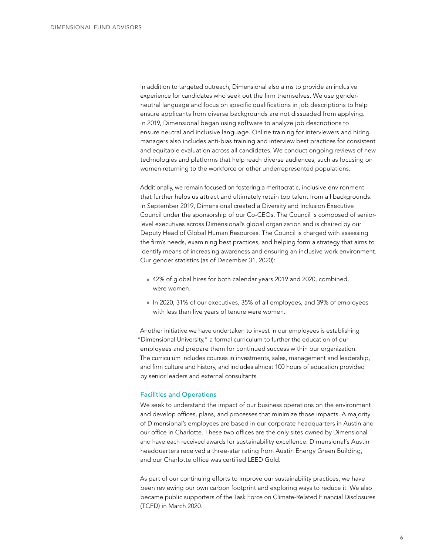In addition to targeted outreach, Dimensional also aims to provide an inclusive experience for candidates who seek out the firm themselves. We use genderneutral language and focus on specific qualifications in job descriptions to help ensure applicants from diverse backgrounds are not dissuaded from applying. In 2019, Dimensional began using software to analyze job descriptions to ensure neutral and inclusive language. Online training for interviewers and hiring managers also includes anti-bias training and interview best practices for consistent and equitable evaluation across all candidates. We conduct ongoing reviews of new technologies and platforms that help reach diverse audiences, such as focusing on women returning to the workforce or other underrepresented populations.

Additionally, we remain focused on fostering a meritocratic, inclusive environment that further helps us attract and ultimately retain top talent from all backgrounds. In September 2019, Dimensional created a Diversity and Inclusion Executive Council under the sponsorship of our Co-CEOs. The Council is composed of seniorlevel executives across Dimensional's global organization and is chaired by our Deputy Head of Global Human Resources. The Council is charged with assessing the firm's needs, examining best practices, and helping form a strategy that aims to identify means of increasing awareness and ensuring an inclusive work environment. Our gender statistics (as of December 31, 2020):

- 42% of global hires for both calendar years 2019 and 2020, combined, were women.
- n 2020, 31% of our executives, 35% of all employees, and 39% of employees with less than five years of tenure were women.

Another initiative we have undertaken to invest in our employees is establishing "Dimensional University," a formal curriculum to further the education of our employees and prepare them for continued success within our organization. The curriculum includes courses in investments, sales, management and leadership, and firm culture and history, and includes almost 100 hours of education provided by senior leaders and external consultants.

## Facilities and Operations

We seek to understand the impact of our business operations on the environment and develop offices, plans, and processes that minimize those impacts. A majority of Dimensional's employees are based in our corporate headquarters in Austin and our office in Charlotte. These two offices are the only sites owned by Dimensional and have each received awards for sustainability excellence. Dimensional's Austin headquarters received a three-star rating from Austin Energy Green Building, and our Charlotte office was certified LEED Gold.

As part of our continuing efforts to improve our sustainability practices, we have been reviewing our own carbon footprint and exploring ways to reduce it. We also became public supporters of the Task Force on Climate-Related Financial Disclosures (TCFD) in March 2020.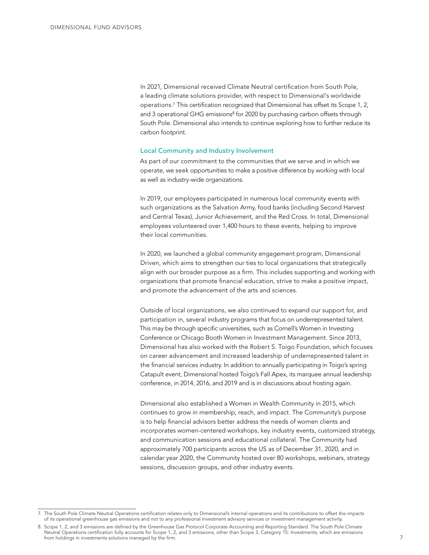In 2021, Dimensional received Climate Neutral certification from South Pole, a leading climate solutions provider, with respect to Dimensional's worldwide operations.7 This certification recognized that Dimensional has offset its Scope 1, 2, and 3 operational GHG emissions<sup>8</sup> for 2020 by purchasing carbon offsets through South Pole. Dimensional also intends to continue exploring how to further reduce its carbon footprint.

## Local Community and Industry Involvement

As part of our commitment to the communities that we serve and in which we operate, we seek opportunities to make a positive difference by working with local as well as industry-wide organizations.

In 2019, our employees participated in numerous local community events with such organizations as the Salvation Army, food banks (including Second Harvest and Central Texas), Junior Achievement, and the Red Cross. In total, Dimensional employees volunteered over 1,400 hours to these events, helping to improve their local communities.

In 2020, we launched a global community engagement program, Dimensional Driven, which aims to strengthen our ties to local organizations that strategically align with our broader purpose as a firm. This includes supporting and working with organizations that promote financial education, strive to make a positive impact, and promote the advancement of the arts and sciences.

Outside of local organizations, we also continued to expand our support for, and participation in, several industry programs that focus on underrepresented talent. This may be through specific universities, such as Cornell's Women in Investing Conference or Chicago Booth Women in Investment Management. Since 2013, Dimensional has also worked with the Robert S. Toigo Foundation, which focuses on career advancement and increased leadership of underrepresented talent in the financial services industry. In addition to annually participating in Toigo's spring Catapult event, Dimensional hosted Toigo's Fall Apex, its marquee annual leadership conference, in 2014, 2016, and 2019 and is in discussions about hosting again.

Dimensional also established a Women in Wealth Community in 2015, which continues to grow in membership, reach, and impact. The Community's purpose is to help financial advisors better address the needs of women clients and incorporates women-centered workshops, key industry events, customized strategy, and communication sessions and educational collateral. The Community had approximately 700 participants across the US as of December 31, 2020, and in calendar year 2020, the Community hosted over 80 workshops, webinars, strategy sessions, discussion groups, and other industry events.

<sup>7.</sup> The South Pole Climate Neutral Operations certification relates only to Dimensional's internal operations and its contributions to offset the impacts of its operational greenhouse gas emissions and not to any professional investment advisory services or investment management activity.

<sup>8</sup>. Scope 1, 2, and 3 emissions are defined by the Greenhouse Gas Protocol Corporate Accounting and Reporting Standard. The South Pole Climate Neutral Operations certification fully accounts for Scope 1, 2, and 3 emissions, other than Scope 3, Category 15: Investments, which are emissions from holdings in investments solutions managed by the firm.